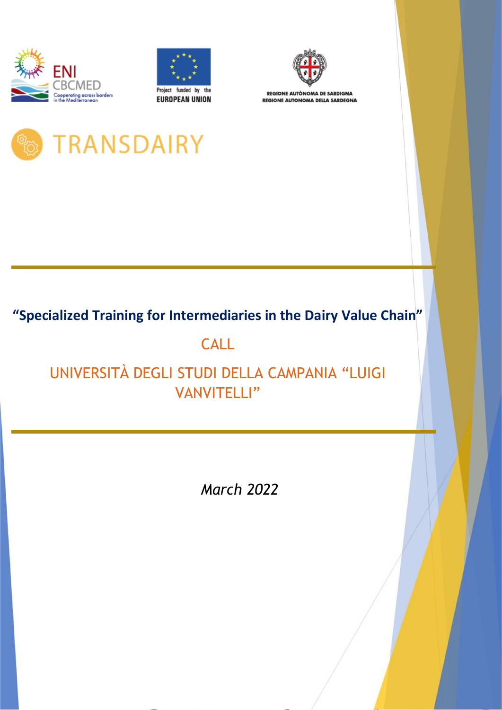





**REGIONE AUTÒNOMA DE SARDIGNA REGIONE AUTONOMA DELLA SARDEGNA** 

# TRANSDAIRY

### **"Specialized Training for Intermediaries in the Dairy Value Chain"**

## **CALL**

### UNIVERSITÀ DEGLI STUDI DELLA CAMPANIA "LUIGI VANVITELLI"

*March 2022*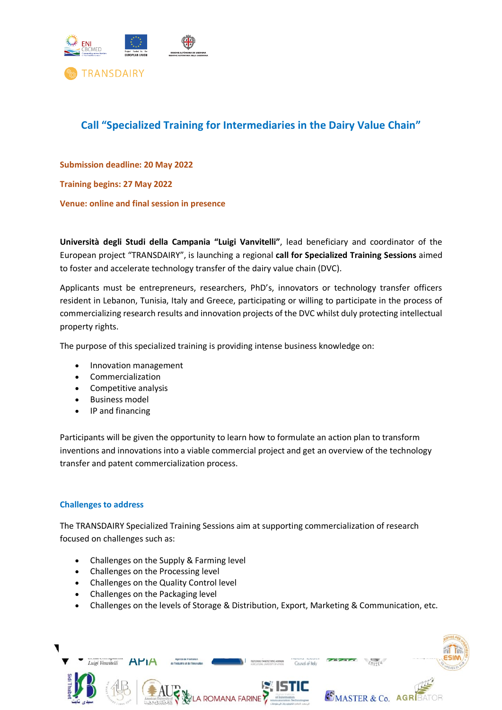

### **Call "Specialized Training for Intermediaries in the Dairy Value Chain"**

**Submission deadline: 20 May 2022**

**Training begins: 27 May 2022**

**Venue: online and final session in presence**

**Università degli Studi della Campania "Luigi Vanvitelli"**, lead beneficiary and coordinator of the European project "TRANSDAIRY", is launching a regional **call for Specialized Training Sessions** aimed to foster and accelerate technology transfer of the dairy value chain (DVC).

Applicants must be entrepreneurs, researchers, PhD's, innovators or technology transfer officers resident in Lebanon, Tunisia, Italy and Greece, participating or willing to participate in the process of commercializing research results and innovation projects of the DVC whilst duly protecting intellectual property rights.

The purpose of this specialized training is providing intense business knowledge on:

- Innovation management
- Commercialization
- Competitive analysis
- Business model
- IP and financing

Participants will be given the opportunity to learn how to formulate an action plan to transform inventions and innovations into a viable commercial project and get an overview of the technology transfer and patent commercialization process.

#### **Challenges to address**

The TRANSDAIRY Specialized Training Sessions aim at supporting commercialization of research focused on challenges such as:

- Challenges on the Supply & Farming level
- Challenges on the Processing level
- Challenges on the Quality Control level
- Challenges on the Packaging level
- Challenges on the levels of Storage & Distribution, Export, Marketing & Communication, etc.

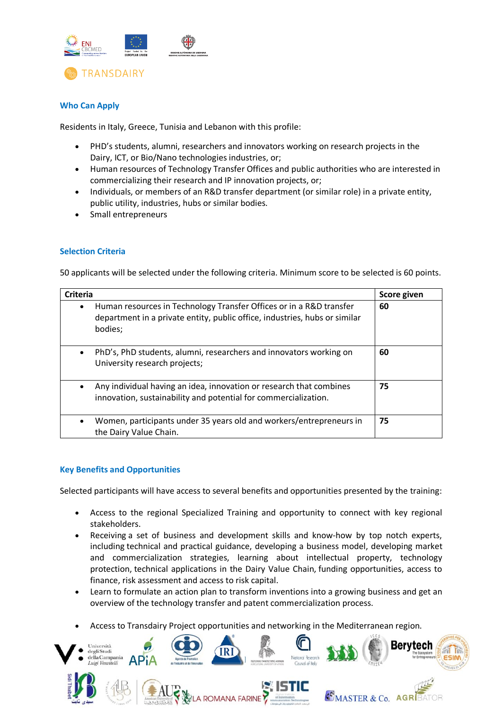

#### **Who Can Apply**

Residents in Italy, Greece, Tunisia and Lebanon with this profile:

- PHD's students, alumni, researchers and innovators working on research projects in the Dairy, ICT, or Bio/Nano technologies industries, or;
- Human resources of Technology Transfer Offices and public authorities who are interested in commercializing their research and IP innovation projects, or;
- Individuals, or members of an R&D transfer department (or similar role) in a private entity, public utility, industries, hubs or similar bodies.
- Small entrepreneurs

#### **Selection Criteria**

50 applicants will be selected under the following criteria. Minimum score to be selected is 60 points.

| <b>Criteria</b> |                                                                                                                                                              | Score given |
|-----------------|--------------------------------------------------------------------------------------------------------------------------------------------------------------|-------------|
| ٠               | Human resources in Technology Transfer Offices or in a R&D transfer<br>department in a private entity, public office, industries, hubs or similar<br>bodies; | 60          |
|                 | PhD's, PhD students, alumni, researchers and innovators working on<br>University research projects;                                                          | 60          |
|                 | Any individual having an idea, innovation or research that combines<br>innovation, sustainability and potential for commercialization.                       | 75          |
|                 | Women, participants under 35 years old and workers/entrepreneurs in<br>the Dairy Value Chain.                                                                | 75          |

#### **Key Benefits and Opportunities**

Selected participants will have access to several benefits and opportunities presented by the training:

- Access to the regional Specialized Training and opportunity to connect with key regional stakeholders.
- Receiving a set of business and development skills and know-how by top notch experts, including technical and practical guidance, developing a business model, developing market and commercialization strategies, learning about intellectual property, technology protection, technical applications in the Dairy Value Chain, funding opportunities, access to finance, risk assessment and access to risk capital.
- Learn to formulate an action plan to transform inventions into a growing business and get an overview of the technology transfer and patent commercialization process.
- Access to Transdairy Project opportunities and networking in the Mediterranean region.

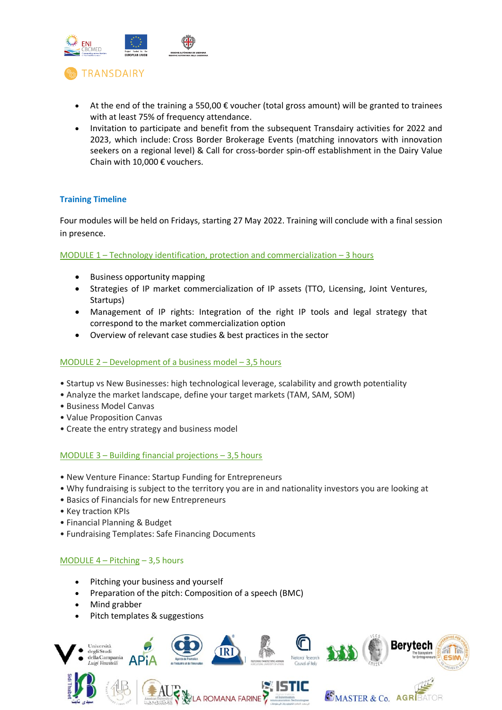

- At the end of the training a 550,00  $\epsilon$  voucher (total gross amount) will be granted to trainees with at least 75% of frequency attendance.
- Invitation to participate and benefit from the subsequent Transdairy activities for 2022 and 2023, which include: Cross Border Brokerage Events (matching innovators with innovation seekers on a regional level) & Call for cross-border spin-off establishment in the Dairy Value Chain with 10,000 € vouchers.

#### **Training Timeline**

Four modules will be held on Fridays, starting 27 May 2022. Training will conclude with a final session in presence.

MODULE 1 – Technology identification, protection and commercialization – 3 hours

- Business opportunity mapping
- Strategies of IP market commercialization of IP assets (TTO, Licensing, Joint Ventures, Startups)
- Management of IP rights: Integration of the right IP tools and legal strategy that correspond to the market commercialization option
- Overview of relevant case studies & best practices in the sector

#### MODULE 2 – Development of a business model – 3,5 hours

- Startup vs New Businesses: high technological leverage, scalability and growth potentiality
- Analyze the market landscape, define your target markets (TAM, SAM, SOM)
- Business Model Canvas
- Value Proposition Canvas
- Create the entry strategy and business model

#### MODULE 3 – Building financial projections – 3,5 hours

- New Venture Finance: Startup Funding for Entrepreneurs
- Why fundraising is subject to the territory you are in and nationality investors you are looking at
- Basics of Financials for new Entrepreneurs
- Key traction KPIs
- Financial Planning & Budget
- Fundraising Templates: Safe Financing Documents

#### MODULE 4 – Pitching – 3,5 hours

- Pitching your business and yourself
- Preparation of the pitch: Composition of a speech (BMC)
- Mind grabber
- Pitch templates & suggestions